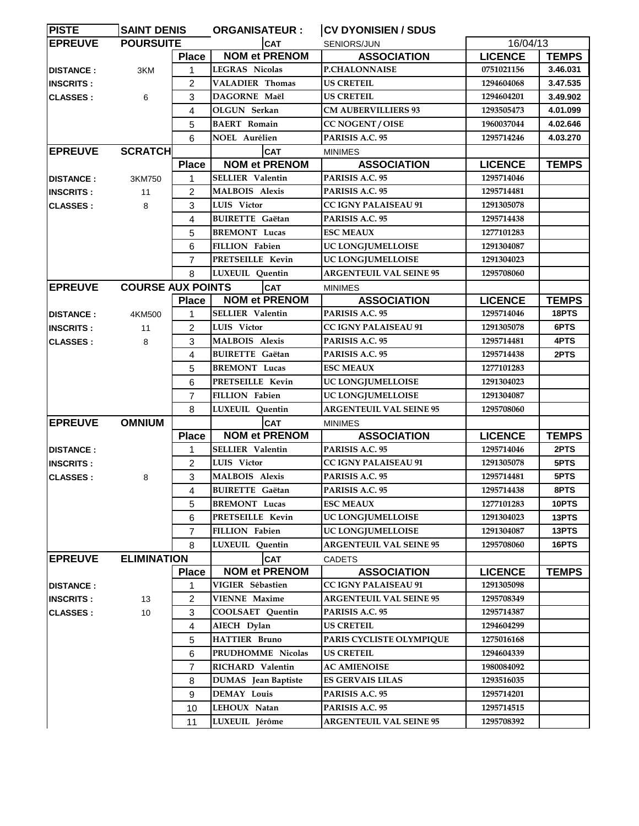| <b>PISTE</b>       | <b>SAINT DENIS</b>       |                | <b>ORGANISATEUR:</b>       | <b>CV DYONISIEN / SDUS</b>                        |                              |              |
|--------------------|--------------------------|----------------|----------------------------|---------------------------------------------------|------------------------------|--------------|
| <b>EPREUVE</b>     | <b>POURSUITE</b>         |                | <b>CAT</b>                 | SENIORS/JUN                                       | 16/04/13                     |              |
|                    |                          | <b>Place</b>   | <b>NOM et PRENOM</b>       | <b>ASSOCIATION</b>                                | <b>LICENCE</b>               | <b>TEMPS</b> |
| <b>DISTANCE :</b>  | 3KM                      | 1              | LEGRAS Nicolas             | <b>P.CHALONNAISE</b>                              | 0751021156                   | 3.46.031     |
| <b>INSCRITS:</b>   |                          | 2              | <b>VALADIER Thomas</b>     | <b>US CRETEIL</b>                                 | 1294604068                   | 3.47.535     |
| <b>CLASSES:</b>    | 6                        | 3              | DAGORNE Maël               | <b>US CRETEIL</b>                                 | 1294604201                   | 3.49.902     |
|                    |                          | 4              | OLGUN Serkan               | <b>CM AUBERVILLIERS 93</b>                        | 1293505473                   | 4.01.099     |
|                    |                          | 5              | <b>BAERT Romain</b>        | <b>CC NOGENT / OISE</b>                           | 1960037044                   | 4.02.646     |
|                    |                          | 6              | <b>NOEL Aurélien</b>       | PARISIS A.C. 95                                   | 1295714246                   | 4.03.270     |
| <b>EPREUVE</b>     | <b>SCRATCH</b>           |                | <b>CAT</b>                 | <b>MINIMES</b>                                    |                              |              |
|                    |                          | <b>Place</b>   | <b>NOM et PRENOM</b>       | <b>ASSOCIATION</b>                                | <b>LICENCE</b>               | <b>TEMPS</b> |
| <b>DISTANCE :</b>  | 3KM750                   | 1              | <b>SELLIER</b> Valentin    | PARISIS A.C. 95                                   | 1295714046                   |              |
| <b>INSCRITS:</b>   | 11                       | 2              | <b>MALBOIS Alexis</b>      | PARISIS A.C. 95                                   | 1295714481                   |              |
| <b>ICLASSES :</b>  | 8                        | 3              | LUIS Victor                | <b>CC IGNY PALAISEAU 91</b>                       | 1291305078                   |              |
|                    |                          | 4              | <b>BUIRETTE</b> Gaëtan     | PARISIS A.C. 95                                   | 1295714438                   |              |
|                    |                          | 5              | <b>BREMONT Lucas</b>       | <b>ESC MEAUX</b>                                  | 1277101283                   |              |
|                    |                          | 6              | FILLION Fabien             | UC LONGJUMELLOISE                                 | 1291304087                   |              |
|                    |                          | 7              | PRETSEILLE Kevin           | <b>UC LONGJUMELLOISE</b>                          | 1291304023                   |              |
|                    |                          | 8              | <b>LUXEUIL</b> Quentin     | <b>ARGENTEUIL VAL SEINE 95</b>                    | 1295708060                   |              |
| <b>EPREUVE</b>     | <b>COURSE AUX POINTS</b> |                | <b>CAT</b>                 | <b>MINIMES</b>                                    |                              |              |
|                    |                          | <b>Place</b>   | <b>NOM et PRENOM</b>       | <b>ASSOCIATION</b>                                | <b>LICENCE</b>               | <b>TEMPS</b> |
| <b>DISTANCE :</b>  | 4KM500                   | 1              | <b>SELLIER Valentin</b>    | PARISIS A.C. 95                                   | 1295714046                   | 18PTS        |
| <b>IINSCRITS :</b> | 11                       | 2              | <b>LUIS</b> Victor         | <b>CC IGNY PALAISEAU 91</b>                       | 1291305078                   | 6PTS         |
| <b>CLASSES:</b>    | 8                        | 3              | <b>MALBOIS Alexis</b>      | PARISIS A.C. 95                                   | 1295714481                   | 4PTS         |
|                    |                          | 4              | <b>BUIRETTE Gaëtan</b>     | PARISIS A.C. 95                                   | 1295714438                   | 2PTS         |
|                    |                          | 5              | <b>BREMONT Lucas</b>       | <b>ESC MEAUX</b>                                  | 1277101283                   |              |
|                    |                          | 6              | PRETSEILLE Kevin           | UC LONGJUMELLOISE                                 | 1291304023                   |              |
|                    |                          | $\overline{7}$ | <b>FILLION Fabien</b>      | UC LONGJUMELLOISE                                 | 1291304087                   |              |
|                    |                          | 8              | LUXEUIL Quentin            | <b>ARGENTEUIL VAL SEINE 95</b>                    | 1295708060                   |              |
| <b>EPREUVE</b>     | <b>OMNIUM</b>            |                | <b>CAT</b>                 | <b>MINIMES</b>                                    |                              |              |
|                    |                          | <b>Place</b>   | <b>NOM et PRENOM</b>       | <b>ASSOCIATION</b>                                | <b>LICENCE</b>               | <b>TEMPS</b> |
| <b>IDISTANCE :</b> |                          | 1              | <b>SELLIER Valentin</b>    | PARISIS A.C. 95                                   | 1295714046                   | 2PTS         |
| <b>INSCRITS:</b>   |                          | 2              | LUIS Victor                | <b>CC IGNY PALAISEAU 91</b>                       | 1291305078                   | 5PTS         |
| <b>CLASSES:</b>    |                          | 3              | <b>MALBOIS Alexis</b>      | PARISIS A.C. 95                                   | 1295714481                   | 5PTS         |
|                    | 8                        | 4              | <b>BUIRETTE</b> Gaëtan     |                                                   |                              | 8PTS         |
|                    |                          |                | <b>BREMONT Lucas</b>       | PARISIS A.C. 95                                   | 1295714438                   | 10PTS        |
|                    |                          | 5              | PRETSEILLE Kevin           | <b>ESC MEAUX</b><br>UC LONGJUMELLOISE             | 1277101283<br>1291304023     |              |
|                    |                          | 6              | <b>FILLION Fabien</b>      |                                                   |                              | 13PTS        |
|                    |                          | 7              |                            | UC LONGJUMELLOISE                                 | 1291304087                   | 13PTS        |
|                    |                          | 8              | LUXEUIL Quentin            | <b>ARGENTEUIL VAL SEINE 95</b>                    | 1295708060                   | 16PTS        |
| <b>EPREUVE</b>     | <b>ELIMINATION</b>       |                | <b>CAT</b>                 | CADETS                                            |                              |              |
|                    |                          | <b>Place</b>   | <b>NOM et PRENOM</b>       | <b>ASSOCIATION</b><br><b>CC IGNY PALAISEAU 91</b> | <b>LICENCE</b><br>1291305098 | <b>TEMPS</b> |
| <b>DISTANCE:</b>   |                          | 1              | VIGIER Sébastien           |                                                   |                              |              |
| <b>INSCRITS:</b>   | 13                       | 2              | <b>VIENNE Maxime</b>       | <b>ARGENTEUIL VAL SEINE 95</b>                    | 1295708349                   |              |
| <b>CLASSES:</b>    | 10                       | 3              | <b>COOLSAET Quentin</b>    | PARISIS A.C. 95                                   | 1295714387                   |              |
|                    |                          | 4              | AIECH Dylan                | <b>US CRETEIL</b>                                 | 1294604299                   |              |
|                    |                          | 5              | <b>HATTIER Bruno</b>       | PARIS CYCLISTE OLYMPIQUE                          | 1275016168                   |              |
|                    |                          | 6              | PRUDHOMME Nicolas          | <b>US CRETEIL</b>                                 | 1294604339                   |              |
|                    |                          | $\overline{7}$ | RICHARD Valentin           | <b>AC AMIENOISE</b>                               | 1980084092                   |              |
|                    |                          | 8              | <b>DUMAS</b> Jean Baptiste | <b>ES GERVAIS LILAS</b>                           | 1293516035                   |              |
|                    |                          | 9              | <b>DEMAY Louis</b>         | PARISIS A.C. 95                                   | 1295714201                   |              |
|                    |                          | 10             | LEHOUX Natan               | PARISIS A.C. 95                                   | 1295714515                   |              |
|                    |                          | 11             | LUXEUIL Jérôme             | <b>ARGENTEUIL VAL SEINE 95</b>                    | 1295708392                   |              |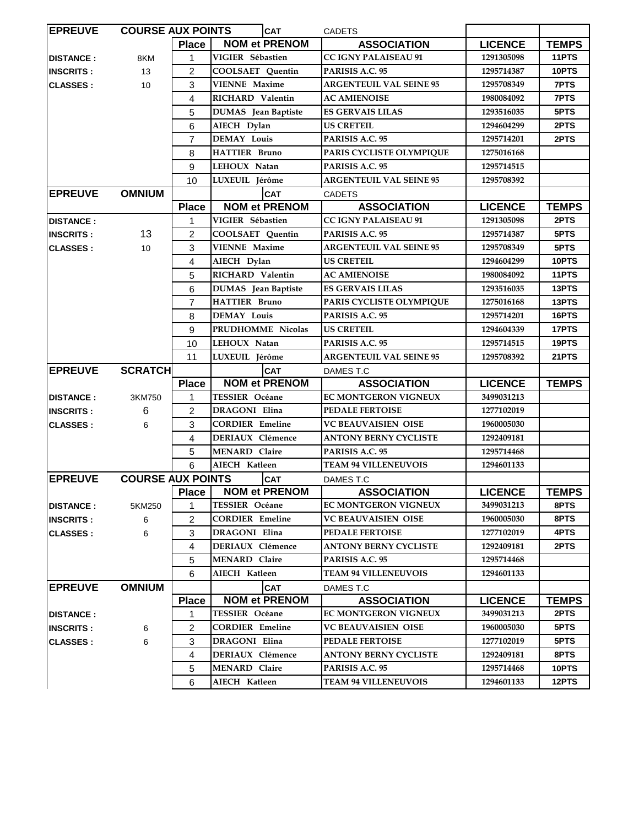| <b>EPREUVE</b>   | <b>COURSE AUX POINTS</b> |                | <b>CAT</b>                                      | <b>CADETS</b>                  |                |               |
|------------------|--------------------------|----------------|-------------------------------------------------|--------------------------------|----------------|---------------|
|                  |                          | <b>Place</b>   | <b>NOM et PRENOM</b>                            | <b>ASSOCIATION</b>             | <b>LICENCE</b> | <b>TEMPS</b>  |
| <b>DISTANCE:</b> | 8KM                      | 1              | VIGIER Sébastien                                | <b>CC IGNY PALAISEAU 91</b>    | 1291305098     | 11PTS         |
| <b>INSCRITS:</b> | 13                       | $\overline{2}$ | COOLSAET Quentin                                | PARISIS A.C. 95                | 1295714387     | 10PTS         |
| <b>CLASSES:</b>  | 10                       | 3              | <b>VIENNE Maxime</b>                            | <b>ARGENTEUIL VAL SEINE 95</b> | 1295708349     | 7PTS          |
|                  |                          | 4              | <b>RICHARD Valentin</b>                         | <b>AC AMIENOISE</b>            | 1980084092     | 7PTS          |
|                  |                          | 5              | <b>DUMAS</b> Jean Baptiste                      | <b>ES GERVAIS LILAS</b>        | 1293516035     | 5PTS          |
|                  |                          | 6              | AIECH Dylan                                     | <b>US CRETEIL</b>              | 1294604299     | 2PTS          |
|                  |                          | $\overline{7}$ | <b>DEMAY Louis</b>                              | PARISIS A.C. 95                | 1295714201     | 2PTS          |
|                  |                          | 8              | <b>HATTIER Bruno</b>                            | PARIS CYCLISTE OLYMPIQUE       | 1275016168     |               |
|                  |                          | 9              | LEHOUX Natan                                    | PARISIS A.C. 95                | 1295714515     |               |
|                  |                          | 10             | LUXEUIL Jérôme                                  | <b>ARGENTEUIL VAL SEINE 95</b> | 1295708392     |               |
| <b>EPREUVE</b>   | <b>OMNIUM</b>            |                | <b>CAT</b>                                      | <b>CADETS</b>                  |                |               |
|                  |                          | <b>Place</b>   | <b>NOM et PRENOM</b>                            | <b>ASSOCIATION</b>             | <b>LICENCE</b> | <b>TEMPS</b>  |
| <b>DISTANCE:</b> |                          | 1              | VIGIER Sébastien                                | CC IGNY PALAISEAU 91           | 1291305098     | 2PTS          |
| <b>INSCRITS:</b> | 13                       | $\overline{2}$ | COOLSAET Quentin                                | PARISIS A.C. 95                | 1295714387     | 5PTS          |
| <b>CLASSES:</b>  | 10                       | 3              | <b>VIENNE Maxime</b>                            | <b>ARGENTEUIL VAL SEINE 95</b> | 1295708349     | 5PTS          |
|                  |                          | 4              | AIECH Dylan                                     | <b>US CRETEIL</b>              | 1294604299     | 10PTS         |
|                  |                          | 5              | RICHARD Valentin                                | <b>AC AMIENOISE</b>            | 1980084092     | 11PTS         |
|                  |                          | 6              | <b>DUMAS</b> Jean Baptiste                      | <b>ES GERVAIS LILAS</b>        | 1293516035     | 13PTS         |
|                  |                          | $\overline{7}$ | <b>HATTIER Bruno</b>                            | PARIS CYCLISTE OLYMPIQUE       | 1275016168     | 13PTS         |
|                  |                          | 8              | <b>DEMAY Louis</b>                              | PARISIS A.C. 95                | 1295714201     | 16PTS         |
|                  |                          | 9              | PRUDHOMME Nicolas                               | <b>US CRETEIL</b>              | 1294604339     | 17PTS         |
|                  |                          | 10             | LEHOUX Natan                                    | PARISIS A.C. 95                | 1295714515     | 19PTS         |
|                  |                          | 11             | LUXEUIL Jérôme                                  | <b>ARGENTEUIL VAL SEINE 95</b> | 1295708392     | 21PTS         |
| <b>EPREUVE</b>   | <b>SCRATCH</b>           |                | <b>CAT</b>                                      | DAMES T.C                      |                |               |
|                  |                          | <b>Place</b>   | <b>NOM et PRENOM</b>                            | <b>ASSOCIATION</b>             | <b>LICENCE</b> | <b>TEMPS</b>  |
| <b>DISTANCE:</b> | 3KM750                   | 1              | <b>TESSIER Océane</b>                           | EC MONTGERON VIGNEUX           | 3499031213     |               |
| <b>INSCRITS:</b> | 6                        | $\overline{2}$ | <b>DRAGONI Elina</b>                            | <b>PEDALE FERTOISE</b>         | 1277102019     |               |
| <b>CLASSES:</b>  | 6                        | 3              | <b>CORDIER Emeline</b>                          | <b>VC BEAUVAISIEN OISE</b>     | 1960005030     |               |
|                  |                          | 4              | <b>DERIAUX Clémence</b>                         | <b>ANTONY BERNY CYCLISTE</b>   | 1292409181     |               |
|                  |                          | 5              | <b>MENARD Claire</b>                            | PARISIS A.C. 95                | 1295714468     |               |
|                  |                          | 6              | AIECH Katleen                                   | <b>TEAM 94 VILLENEUVOIS</b>    | 1294601133     |               |
| <b>EPREUVE</b>   | <b>COURSE AUX POINTS</b> |                | <b>CAT</b>                                      | DAMES T.C                      |                |               |
|                  |                          |                | Place   NOM et PRENOM                           | <b>ASSOCIATION</b>             | <b>LICENCE</b> | <b>TEMPS</b>  |
| <b>DISTANCE:</b> | 5KM250                   | 1              | <b>TESSIER Océane</b>                           | <b>EC MONTGERON VIGNEUX</b>    | 3499031213     | 8PTS          |
| <b>INSCRITS:</b> | 6                        | 2              | <b>CORDIER Emeline</b>                          | <b>VC BEAUVAISIEN OISE</b>     | 1960005030     | 8PTS          |
| <b>CLASSES:</b>  | 6                        | 3              | DRAGONI Elina                                   | <b>PEDALE FERTOISE</b>         | 1277102019     | 4PTS          |
|                  |                          | 4              | <b>DERIAUX</b> Clémence                         | <b>ANTONY BERNY CYCLISTE</b>   | 1292409181     | 2PTS          |
|                  |                          | 5              | <b>MENARD</b> Claire                            | PARISIS A.C. 95                | 1295714468     |               |
|                  |                          | 6              | AIECH Katleen                                   | <b>TEAM 94 VILLENEUVOIS</b>    | 1294601133     |               |
| <b>EPREUVE</b>   | <b>OMNIUM</b>            |                | <b>CAT</b>                                      | DAMES T.C                      |                |               |
|                  |                          | <b>Place</b>   | <b>NOM et PRENOM</b>                            | <b>ASSOCIATION</b>             | <b>LICENCE</b> | <b>TEMPS</b>  |
| <b>DISTANCE:</b> |                          | 1              | TESSIER Océane                                  | <b>EC MONTGERON VIGNEUX</b>    | 3499031213     | 2PTS          |
| <b>INSCRITS:</b> | 6                        | 2              | <b>CORDIER Emeline</b>                          | <b>VC BEAUVAISIEN OISE</b>     | 1960005030     | 5PTS          |
| <b>CLASSES:</b>  | 6                        | 3              | DRAGONI Elina                                   | <b>PEDALE FERTOISE</b>         | 1277102019     | 5PTS          |
|                  |                          | 4              | <b>DERIAUX</b> Clémence<br><b>MENARD</b> Claire | <b>ANTONY BERNY CYCLISTE</b>   | 1292409181     | 8PTS<br>10PTS |
|                  |                          | 5              |                                                 | PARISIS A.C. 95                | 1295714468     | 12PTS         |
|                  |                          | 6              | AIECH Katleen                                   | <b>TEAM 94 VILLENEUVOIS</b>    | 1294601133     |               |